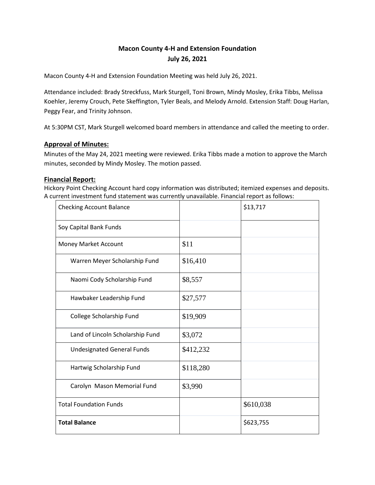# **Macon County 4-H and Extension Foundation July 26, 2021**

Macon County 4-H and Extension Foundation Meeting was held July 26, 2021.

Attendance included: Brady Streckfuss, Mark Sturgell, Toni Brown, Mindy Mosley, Erika Tibbs, Melissa Koehler, Jeremy Crouch, Pete Skeffington, Tyler Beals, and Melody Arnold. Extension Staff: Doug Harlan, Peggy Fear, and Trinity Johnson.

At 5:30PM CST, Mark Sturgell welcomed board members in attendance and called the meeting to order.

# **Approval of Minutes:**

Minutes of the May 24, 2021 meeting were reviewed. Erika Tibbs made a motion to approve the March minutes, seconded by Mindy Mosley. The motion passed.

## **Financial Report:**

Hickory Point Checking Account hard copy information was distributed; itemized expenses and deposits. A current investment fund statement was currently unavailable. Financial report as follows:

| <b>Checking Account Balance</b>   |           | \$13,717  |
|-----------------------------------|-----------|-----------|
| Soy Capital Bank Funds            |           |           |
| Money Market Account              | \$11      |           |
| Warren Meyer Scholarship Fund     | \$16,410  |           |
| Naomi Cody Scholarship Fund       | \$8,557   |           |
| Hawbaker Leadership Fund          | \$27,577  |           |
| College Scholarship Fund          | \$19,909  |           |
| Land of Lincoln Scholarship Fund  | \$3,072   |           |
| <b>Undesignated General Funds</b> | \$412,232 |           |
| Hartwig Scholarship Fund          | \$118,280 |           |
| Carolyn Mason Memorial Fund       | \$3,990   |           |
| <b>Total Foundation Funds</b>     |           | \$610,038 |
| <b>Total Balance</b>              |           | \$623,755 |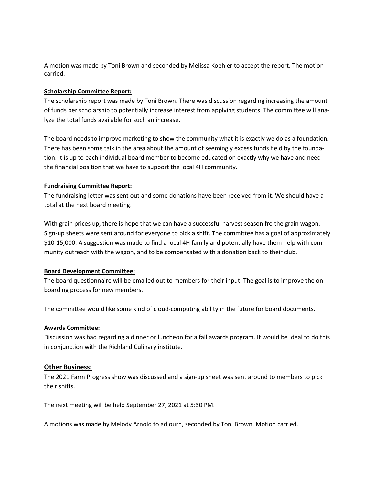A motion was made by Toni Brown and seconded by Melissa Koehler to accept the report. The motion carried.

#### **Scholarship Committee Report:**

The scholarship report was made by Toni Brown. There was discussion regarding increasing the amount of funds per scholarship to potentially increase interest from applying students. The committee will analyze the total funds available for such an increase.

The board needs to improve marketing to show the community what it is exactly we do as a foundation. There has been some talk in the area about the amount of seemingly excess funds held by the foundation. It is up to each individual board member to become educated on exactly why we have and need the financial position that we have to support the local 4H community.

## **Fundraising Committee Report:**

The fundraising letter was sent out and some donations have been received from it. We should have a total at the next board meeting.

With grain prices up, there is hope that we can have a successful harvest season fro the grain wagon. Sign-up sheets were sent around for everyone to pick a shift. The committee has a goal of approximately \$10-15,000. A suggestion was made to find a local 4H family and potentially have them help with community outreach with the wagon, and to be compensated with a donation back to their club.

## **Board Development Committee:**

The board questionnaire will be emailed out to members for their input. The goal is to improve the onboarding process for new members.

The committee would like some kind of cloud-computing ability in the future for board documents.

#### **Awards Committee:**

Discussion was had regarding a dinner or luncheon for a fall awards program. It would be ideal to do this in conjunction with the Richland Culinary institute.

## **Other Business:**

The 2021 Farm Progress show was discussed and a sign-up sheet was sent around to members to pick their shifts.

The next meeting will be held September 27, 2021 at 5:30 PM.

A motions was made by Melody Arnold to adjourn, seconded by Toni Brown. Motion carried.